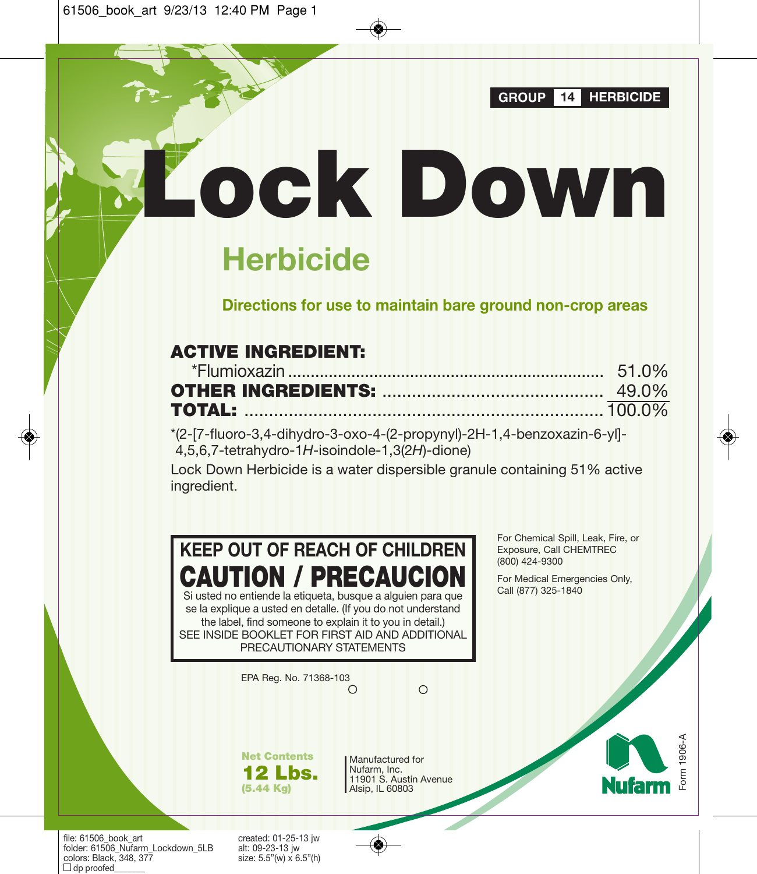**GROUP 14 HERBICIDE**

**Herbicide**

**Directions for use to maintain bare ground non-crop areas**

**Lock Down**

# **ACTIVE INGREDIENT:**

\*(2-[7-fluoro-3,4-dihydro-3-oxo-4-(2-propynyl)-2H-1,4-benzoxazin-6-yl]- 4,5,6,7-tetrahydro-1*H*-isoindole-1,3(2*H*)-dione)

Lock Down Herbicide is a water dispersible granule containing 51% active ingredient.

**KEEP OUT OF REACH OF CHILDREN CAUTION / PRECAUCION** Si usted no entiende la etiqueta, busque a alguien para que

se la explique a usted en detalle. (If you do not understand the label, find someone to explain it to you in detail.) SEE INSIDE BOOKLET FOR FIRST AID AND ADDITIONAL PRECAUTIONARY STATEMENTS

> EPA Reg. No. 71368-103  $\bigcirc$

 $\Omega$ 

**Net Contents 12 Lbs. (5.44 Kg)**

Manufactured for Nufarm, Inc. 11901 S. Austin Avenue Alsip, IL 60803

For Chemical Spill, Leak, Fire, or Exposure, Call CHEMTREC (800) 424-9300

For Medical Emergencies Only, Call (877) 325-1840

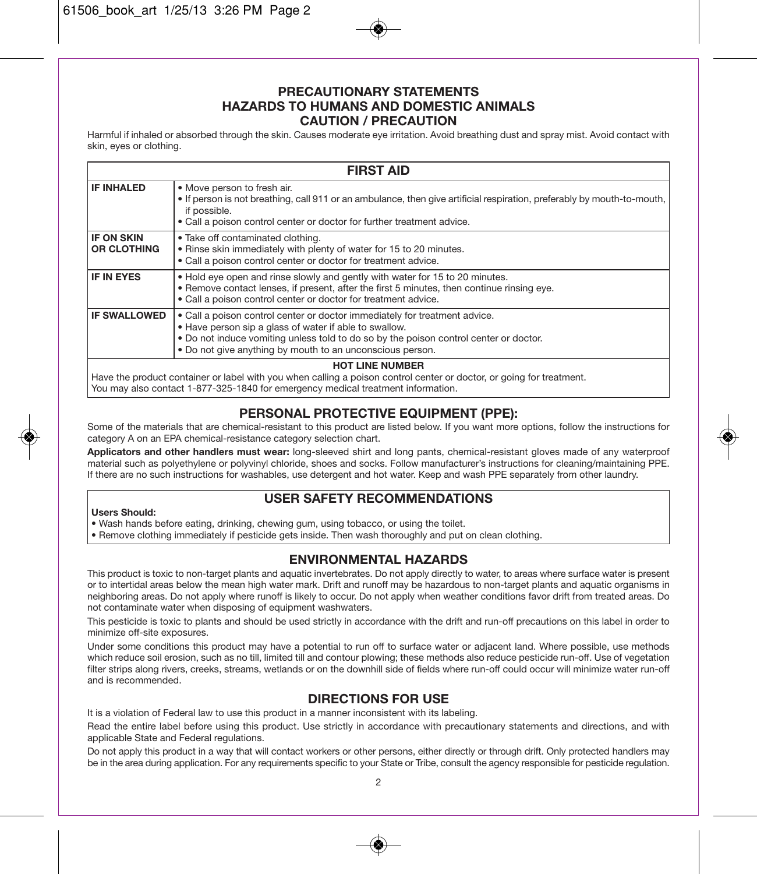### **PRECAUTIONARY STATEMENTS HAZARDS TO HUMANS AND DOMESTIC ANIMALS CAUTION / PRECAUTION**

Harmful if inhaled or absorbed through the skin. Causes moderate eye irritation. Avoid breathing dust and spray mist. Avoid contact with skin, eyes or clothing.

| <b>FIRST AID</b>                                                                                                                                                                                                                   |                                                                                                                                                                                                                                                                                            |  |  |  |
|------------------------------------------------------------------------------------------------------------------------------------------------------------------------------------------------------------------------------------|--------------------------------------------------------------------------------------------------------------------------------------------------------------------------------------------------------------------------------------------------------------------------------------------|--|--|--|
| <b>IF INHALED</b>                                                                                                                                                                                                                  | . Move person to fresh air.<br>. If person is not breathing, call 911 or an ambulance, then give artificial respiration, preferably by mouth-to-mouth,<br>if possible.<br>• Call a poison control center or doctor for further treatment advice.                                           |  |  |  |
| <b>IF ON SKIN</b><br><b>OR CLOTHING</b>                                                                                                                                                                                            | . Take off contaminated clothing.<br>. Rinse skin immediately with plenty of water for 15 to 20 minutes.<br>• Call a poison control center or doctor for treatment advice.                                                                                                                 |  |  |  |
| <b>IF IN EYES</b>                                                                                                                                                                                                                  | • Hold eye open and rinse slowly and gently with water for 15 to 20 minutes.<br>. Remove contact lenses, if present, after the first 5 minutes, then continue rinsing eye.<br>• Call a poison control center or doctor for treatment advice.                                               |  |  |  |
| <b>IF SWALLOWED</b>                                                                                                                                                                                                                | • Call a poison control center or doctor immediately for treatment advice.<br>. Have person sip a glass of water if able to swallow.<br>. Do not induce vomiting unless told to do so by the poison control center or doctor.<br>. Do not give anything by mouth to an unconscious person. |  |  |  |
| <b>HOT LINE NUMBER</b><br>Have the product container or label with you when calling a poison control center or doctor, or going for treatment.<br>You may also contact 1-877-325-1840 for emergency medical treatment information. |                                                                                                                                                                                                                                                                                            |  |  |  |

# **PERSONAL PROTECTIVE EQUIPMENT (PPE):**

Some of the materials that are chemical-resistant to this product are listed below. If you want more options, follow the instructions for category A on an EPA chemical-resistance category selection chart.

**Applicators and other handlers must wear:** long-sleeved shirt and long pants, chemical-resistant gloves made of any waterproof material such as polyethylene or polyvinyl chloride, shoes and socks. Follow manufacturer's instructions for cleaning/maintaining PPE. If there are no such instructions for washables, use detergent and hot water. Keep and wash PPE separately from other laundry.

# **USER SAFETY RECOMMENDATIONS**

### **Users Should:**

• Wash hands before eating, drinking, chewing gum, using tobacco, or using the toilet.

• Remove clothing immediately if pesticide gets inside. Then wash thoroughly and put on clean clothing.

# **ENVIRONMENTAL HAZARDS**

This product is toxic to non-target plants and aquatic invertebrates. Do not apply directly to water, to areas where surface water is present or to intertidal areas below the mean high water mark. Drift and runoff may be hazardous to non-target plants and aquatic organisms in neighboring areas. Do not apply where runoff is likely to occur. Do not apply when weather conditions favor drift from treated areas. Do not contaminate water when disposing of equipment washwaters.

This pesticide is toxic to plants and should be used strictly in accordance with the drift and run-off precautions on this label in order to minimize off-site exposures.

Under some conditions this product may have a potential to run off to surface water or adjacent land. Where possible, use methods which reduce soil erosion, such as no till, limited till and contour plowing; these methods also reduce pesticide run-off. Use of vegetation filter strips along rivers, creeks, streams, wetlands or on the downhill side of fields where run-off could occur will minimize water run-off and is recommended.

# **DIRECTIONS FOR USE**

It is a violation of Federal law to use this product in a manner inconsistent with its labeling.

Read the entire label before using this product. Use strictly in accordance with precautionary statements and directions, and with applicable State and Federal regulations.

Do not apply this product in a way that will contact workers or other persons, either directly or through drift. Only protected handlers may be in the area during application. For any requirements specific to your State or Tribe, consult the agency responsible for pesticide regulation.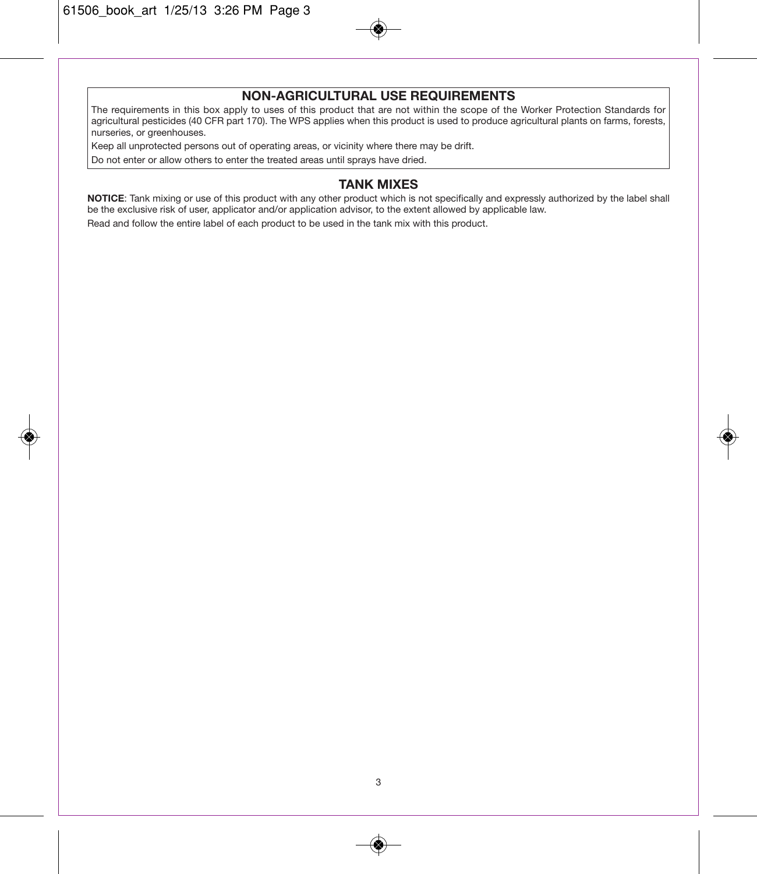# **NON-AGRICULTURAL USE REQUIREMENTS**

The requirements in this box apply to uses of this product that are not within the scope of the Worker Protection Standards for agricultural pesticides (40 CFR part 170). The WPS applies when this product is used to produce agricultural plants on farms, forests, nurseries, or greenhouses.

Keep all unprotected persons out of operating areas, or vicinity where there may be drift.

Do not enter or allow others to enter the treated areas until sprays have dried.

# **TANK MIXES**

**NOTICE**: Tank mixing or use of this product with any other product which is not specifically and expressly authorized by the label shall be the exclusive risk of user, applicator and/or application advisor, to the extent allowed by applicable law.

Read and follow the entire label of each product to be used in the tank mix with this product.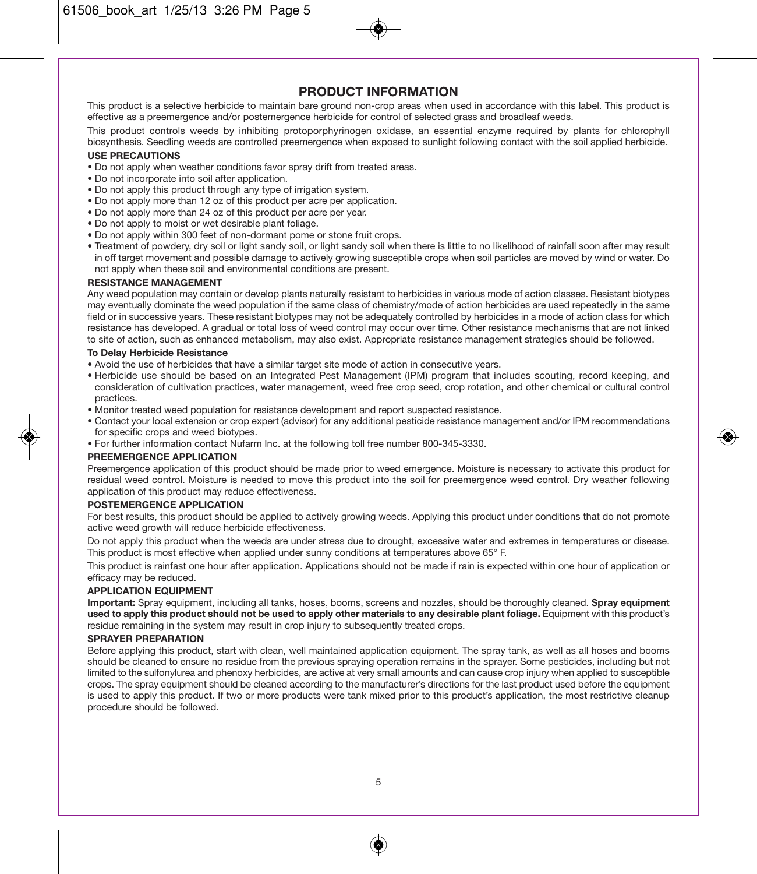## **PRODUCT INFORMATION**

This product is a selective herbicide to maintain bare ground non-crop areas when used in accordance with this label. This product is effective as a preemergence and/or postemergence herbicide for control of selected grass and broadleaf weeds.

This product controls weeds by inhibiting protoporphyrinogen oxidase, an essential enzyme required by plants for chlorophyll biosynthesis. Seedling weeds are controlled preemergence when exposed to sunlight following contact with the soil applied herbicide.

### **USE PRECAUTIONS**

- Do not apply when weather conditions favor spray drift from treated areas.
- Do not incorporate into soil after application.
- Do not apply this product through any type of irrigation system.
- Do not apply more than 12 oz of this product per acre per application.
- Do not apply more than 24 oz of this product per acre per year.
- Do not apply to moist or wet desirable plant foliage.
- Do not apply within 300 feet of non-dormant pome or stone fruit crops.
- Treatment of powdery, dry soil or light sandy soil, or light sandy soil when there is little to no likelihood of rainfall soon after may result in off target movement and possible damage to actively growing susceptible crops when soil particles are moved by wind or water. Do not apply when these soil and environmental conditions are present.

#### **RESISTANCE MANAGEMENT**

Any weed population may contain or develop plants naturally resistant to herbicides in various mode of action classes. Resistant biotypes may eventually dominate the weed population if the same class of chemistry/mode of action herbicides are used repeatedly in the same field or in successive years. These resistant biotypes may not be adequately controlled by herbicides in a mode of action class for which resistance has developed. A gradual or total loss of weed control may occur over time. Other resistance mechanisms that are not linked to site of action, such as enhanced metabolism, may also exist. Appropriate resistance management strategies should be followed.

### **To Delay Herbicide Resistance**

- Avoid the use of herbicides that have a similar target site mode of action in consecutive years.
- Herbicide use should be based on an Integrated Pest Management (IPM) program that includes scouting, record keeping, and consideration of cultivation practices, water management, weed free crop seed, crop rotation, and other chemical or cultural control practices.
- Monitor treated weed population for resistance development and report suspected resistance.
- Contact your local extension or crop expert (advisor) for any additional pesticide resistance management and/or IPM recommendations for specific crops and weed biotypes.
- For further information contact Nufarm Inc. at the following toll free number 800-345-3330.

### **PREEMERGENCE APPLICATION**

Preemergence application of this product should be made prior to weed emergence. Moisture is necessary to activate this product for residual weed control. Moisture is needed to move this product into the soil for preemergence weed control. Dry weather following application of this product may reduce effectiveness.

### **POSTEMERGENCE APPLICATION**

For best results, this product should be applied to actively growing weeds. Applying this product under conditions that do not promote active weed growth will reduce herbicide effectiveness.

Do not apply this product when the weeds are under stress due to drought, excessive water and extremes in temperatures or disease. This product is most effective when applied under sunny conditions at temperatures above 65° F.

This product is rainfast one hour after application. Applications should not be made if rain is expected within one hour of application or efficacy may be reduced.

### **APPLICATION EQUIPMENT**

**Important:** Spray equipment, including all tanks, hoses, booms, screens and nozzles, should be thoroughly cleaned. **Spray equipment used to apply this product should not be used to apply other materials to any desirable plant foliage.** Equipment with this product's residue remaining in the system may result in crop injury to subsequently treated crops.

### **SPRAYER PREPARATION**

Before applying this product, start with clean, well maintained application equipment. The spray tank, as well as all hoses and booms should be cleaned to ensure no residue from the previous spraying operation remains in the sprayer. Some pesticides, including but not limited to the sulfonylurea and phenoxy herbicides, are active at very small amounts and can cause crop injury when applied to susceptible crops. The spray equipment should be cleaned according to the manufacturer's directions for the last product used before the equipment is used to apply this product. If two or more products were tank mixed prior to this product's application, the most restrictive cleanup procedure should be followed.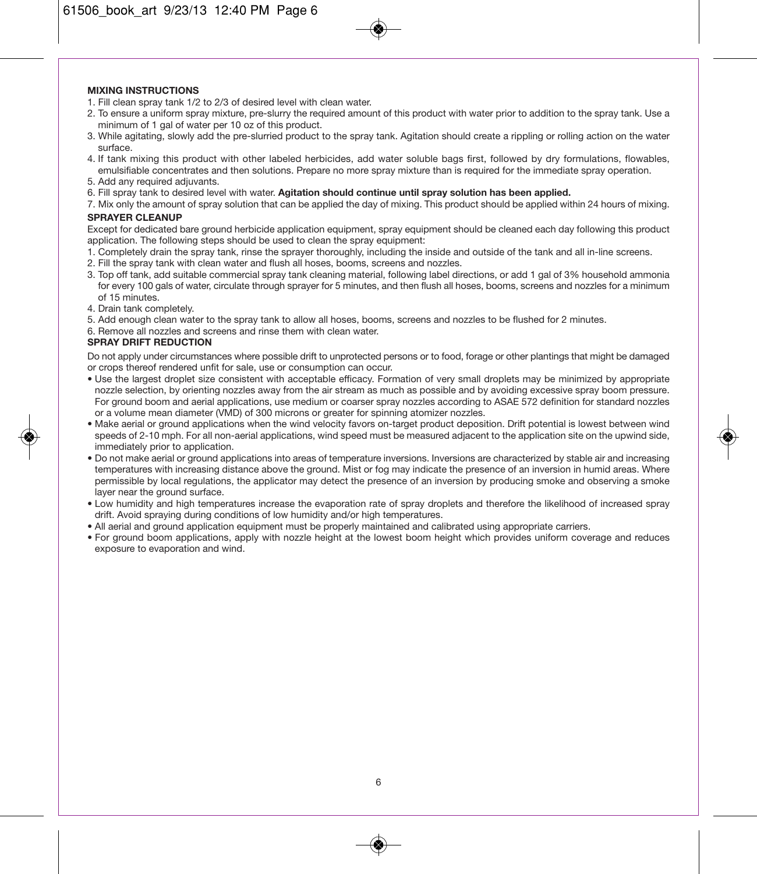### **MIXING INSTRUCTIONS**

- 1. Fill clean spray tank 1/2 to 2/3 of desired level with clean water.
- 2. To ensure a uniform spray mixture, pre-slurry the required amount of this product with water prior to addition to the spray tank. Use a minimum of 1 gal of water per 10 oz of this product.
- 3. While agitating, slowly add the pre-slurried product to the spray tank. Agitation should create a rippling or rolling action on the water surface.
- 4. If tank mixing this product with other labeled herbicides, add water soluble bags first, followed by dry formulations, flowables, emulsifiable concentrates and then solutions. Prepare no more spray mixture than is required for the immediate spray operation.
- 5. Add any required adjuvants.
- 6. Fill spray tank to desired level with water. **Agitation should continue until spray solution has been applied.**
- 7. Mix only the amount of spray solution that can be applied the day of mixing. This product should be applied within 24 hours of mixing.

### **SPRAYER CLEANUP**

Except for dedicated bare ground herbicide application equipment, spray equipment should be cleaned each day following this product application. The following steps should be used to clean the spray equipment:

- 1. Completely drain the spray tank, rinse the sprayer thoroughly, including the inside and outside of the tank and all in-line screens.
- 2. Fill the spray tank with clean water and flush all hoses, booms, screens and nozzles.
- 3. Top off tank, add suitable commercial spray tank cleaning material, following label directions, or add 1 gal of 3% household ammonia for every 100 gals of water, circulate through sprayer for 5 minutes, and then flush all hoses, booms, screens and nozzles for a minimum of 15 minutes.
- 4. Drain tank completely.
- 5. Add enough clean water to the spray tank to allow all hoses, booms, screens and nozzles to be flushed for 2 minutes.
- 6. Remove all nozzles and screens and rinse them with clean water.

### **SPRAY DRIFT REDUCTION**

Do not apply under circumstances where possible drift to unprotected persons or to food, forage or other plantings that might be damaged or crops thereof rendered unfit for sale, use or consumption can occur.

- Use the largest droplet size consistent with acceptable efficacy. Formation of very small droplets may be minimized by appropriate nozzle selection, by orienting nozzles away from the air stream as much as possible and by avoiding excessive spray boom pressure. For ground boom and aerial applications, use medium or coarser spray nozzles according to ASAE 572 definition for standard nozzles or a volume mean diameter (VMD) of 300 microns or greater for spinning atomizer nozzles.
- Make aerial or ground applications when the wind velocity favors on-target product deposition. Drift potential is lowest between wind speeds of 2-10 mph. For all non-aerial applications, wind speed must be measured adjacent to the application site on the upwind side. immediately prior to application.
- Do not make aerial or ground applications into areas of temperature inversions. Inversions are characterized by stable air and increasing temperatures with increasing distance above the ground. Mist or fog may indicate the presence of an inversion in humid areas. Where permissible by local regulations, the applicator may detect the presence of an inversion by producing smoke and observing a smoke layer near the ground surface.
- Low humidity and high temperatures increase the evaporation rate of spray droplets and therefore the likelihood of increased spray drift. Avoid spraying during conditions of low humidity and/or high temperatures.
- All aerial and ground application equipment must be properly maintained and calibrated using appropriate carriers.
- For ground boom applications, apply with nozzle height at the lowest boom height which provides uniform coverage and reduces exposure to evaporation and wind.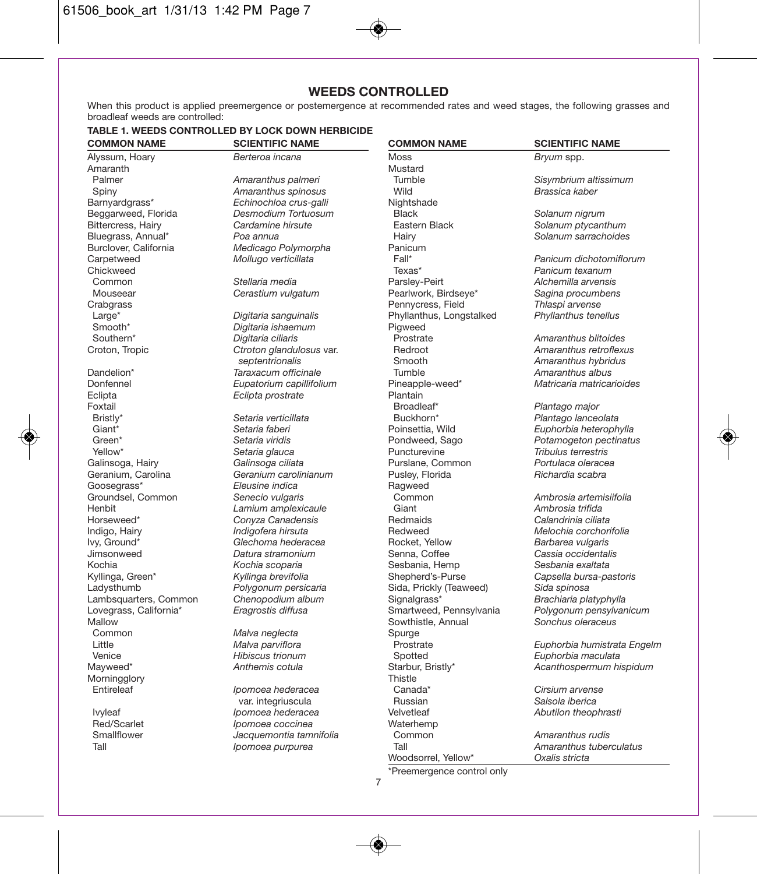# **WEEDS CONTROLLED**

When this product is applied preemergence or postemergence at recommended rates and weed stages, the following grasses and broadleaf weeds are controlled:

### **TABLE 1. WEEDS CONTROLLED BY LOCK DOWN HERBICIDE COMMON NAME SCIENTIFIC NAME**

| <b>COMMON NAME</b>     | <b>SCIENTIFIC NAME</b>   | <b>COMMON NAME</b>       | <b>SCIENTIFIC NAME</b>      |
|------------------------|--------------------------|--------------------------|-----------------------------|
| Alyssum, Hoary         | Berteroa incana          | Moss                     | Bryum spp.                  |
| Amaranth               |                          | Mustard                  |                             |
| Palmer                 | Amaranthus palmeri       | Tumble                   | Sisymbrium altissimum       |
| Spiny                  | Amaranthus spinosus      | Wild                     | Brassica kaber              |
| Barnyardgrass*         | Echinochloa crus-galli   | Nightshade               |                             |
| Beggarweed, Florida    | Desmodium Tortuosum      | <b>Black</b>             | Solanum nigrum              |
| Bittercress, Hairy     | Cardamine hirsute        | Eastern Black            | Solanum ptycanthum          |
| Bluegrass, Annual*     | Poa annua                | Hairy                    | Solanum sarrachoides        |
| Burclover, California  | Medicago Polymorpha      | Panicum                  |                             |
| Carpetweed             | Mollugo verticillata     | Fall*                    | Panicum dichotomiflorum     |
| Chickweed              |                          | Texas*                   | Panicum texanum             |
| Common                 | Stellaria media          | Parsley-Peirt            | Alchemilla arvensis         |
| Mouseear               | Cerastium vulgatum       | Pearlwork, Birdseye*     | Sagina procumbens           |
| Crabgrass              |                          | Pennycress, Field        | Thlaspi arvense             |
| Large*                 | Digitaria sanguinalis    | Phyllanthus, Longstalked | Phyllanthus tenellus        |
| Smooth*                | Digitaria ishaemum       | Pigweed                  |                             |
| Southern*              | Digitaria ciliaris       | Prostrate                | Amaranthus blitoides        |
| Croton, Tropic         | Ctroton glandulosus var. | Redroot                  | Amaranthus retroflexus      |
|                        | septentrionalis          | Smooth                   | Amaranthus hybridus         |
| Dandelion*             | Taraxacum officinale     | Tumble                   | Amaranthus albus            |
| Donfennel              | Eupatorium capillifolium | Pineapple-weed*          | Matricaria matricarioides   |
| Eclipta                | Eclipta prostrate        | Plantain                 |                             |
| Foxtail                |                          | Broadleaf*               | Plantago major              |
| Bristly*               | Setaria verticillata     | Buckhorn*                | Plantago lanceolata         |
| Giant*                 | Setaria faberi           | Poinsettia, Wild         | Euphorbia heterophylla      |
| Green*                 | Setaria viridis          | Pondweed, Sago           | Potamogeton pectinatus      |
| Yellow*                | Setaria glauca           | Puncturevine             | Tribulus terrestris         |
| Galinsoga, Hairy       | Galinsoga ciliata        | Purslane, Common         | Portulaca oleracea          |
| Geranium, Carolina     | Geranium carolinianum    | Pusley, Florida          | Richardia scabra            |
| Goosegrass*            | Eleusine indica          | Ragweed                  |                             |
| Groundsel, Common      | Senecio vulgaris         | Common                   | Ambrosia artemisiifolia     |
| Henbit                 | Lamium amplexicaule      | Giant                    | Ambrosia trifida            |
| Horseweed*             | Conyza Canadensis        | Redmaids                 | Calandrinia ciliata         |
| Indigo, Hairy          | Indigofera hirsuta       | Redweed                  | Melochia corchorifolia      |
| Ivy, Ground*           | Glechoma hederacea       | Rocket, Yellow           | Barbarea vulgaris           |
| Jimsonweed             | Datura stramonium        | Senna, Coffee            | Cassia occidentalis         |
| Kochia                 | Kochia scoparia          | Sesbania, Hemp           | Sesbania exaltata           |
| Kyllinga, Green*       | Kyllinga brevifolia      | Shepherd's-Purse         | Capsella bursa-pastoris     |
| Ladysthumb             | Polygonum persicaria     | Sida, Prickly (Teaweed)  | Sida spinosa                |
| Lambsquarters, Common  | Chenopodium album        | Signalgrass*             | Brachiaria platyphylla      |
| Lovegrass, California* | Eragrostis diffusa       | Smartweed, Pennsylvania  | Polygonum pensylvanicum     |
| Mallow                 |                          | Sowthistle, Annual       | Sonchus oleraceus           |
| Common                 | Malva neglecta           | Spurge                   |                             |
| Little                 | Malva parviflora         | Prostrate                | Euphorbia humistrata Engelm |
| Venice                 | Hibiscus trionum         | Spotted                  | Euphorbia maculata          |
| Mayweed*               | Anthemis cotula          | Starbur, Bristly*        | Acanthospermum hispidum     |
| Morningglory           |                          | Thistle                  |                             |
| Entireleaf             | Ipomoea hederacea        | Canada*                  | Cirsium arvense             |
|                        | var. integriuscula       | Russian                  | Salsola iberica             |
| lvyleaf                | Ipomoea hederacea        | Velvetleaf               | Abutilon theophrasti        |
| Red/Scarlet            | Ipomoea coccinea         | Waterhemp                |                             |
| Smallflower            | Jacquemontia tamnifolia  | Common                   | Amaranthus rudis            |
| Tall                   | Ipomoea purpurea         | Tall                     | Amaranthus tuberculatus     |
|                        |                          |                          |                             |

\*Preemergence control only

Woodsorrel, Yellow\* *Oxalis stricta*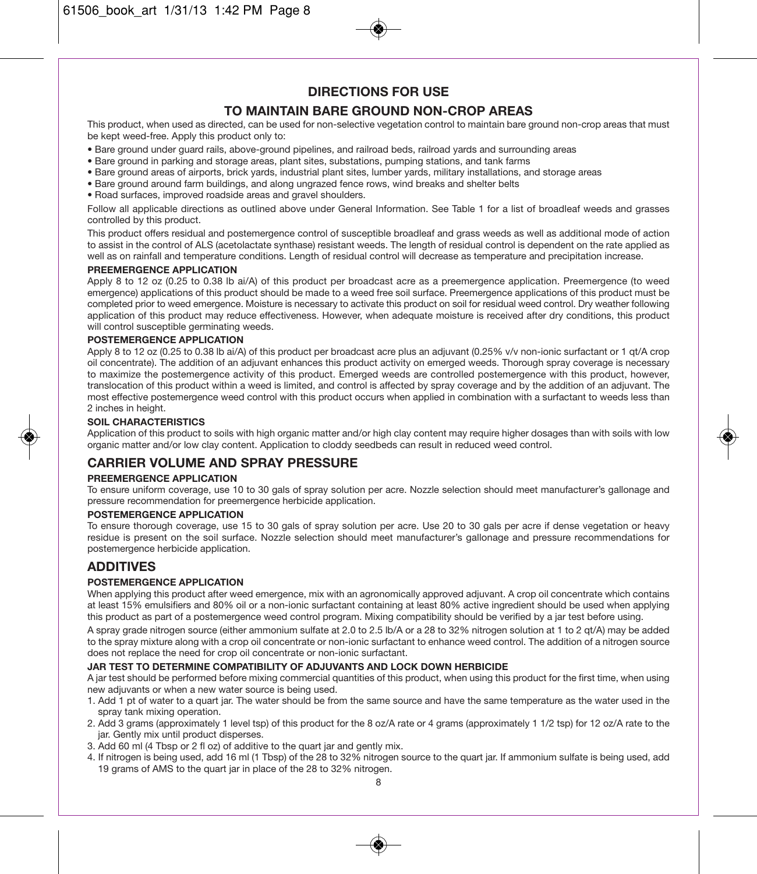# **DIRECTIONS FOR USE**

# **TO MAINTAIN BARE GROUND NON-CROP AREAS**

This product, when used as directed, can be used for non-selective vegetation control to maintain bare ground non-crop areas that must be kept weed-free. Apply this product only to:

- Bare ground under guard rails, above-ground pipelines, and railroad beds, railroad yards and surrounding areas
- Bare ground in parking and storage areas, plant sites, substations, pumping stations, and tank farms
- Bare ground areas of airports, brick yards, industrial plant sites, lumber yards, military installations, and storage areas
- Bare ground around farm buildings, and along ungrazed fence rows, wind breaks and shelter belts
- Road surfaces, improved roadside areas and gravel shoulders.

Follow all applicable directions as outlined above under General Information. See Table 1 for a list of broadleaf weeds and grasses controlled by this product.

This product offers residual and postemergence control of susceptible broadleaf and grass weeds as well as additional mode of action to assist in the control of ALS (acetolactate synthase) resistant weeds. The length of residual control is dependent on the rate applied as well as on rainfall and temperature conditions. Length of residual control will decrease as temperature and precipitation increase.

### **PREEMERGENCE APPLICATION**

Apply 8 to 12 oz (0.25 to 0.38 lb ai/A) of this product per broadcast acre as a preemergence application. Preemergence (to weed emergence) applications of this product should be made to a weed free soil surface. Preemergence applications of this product must be completed prior to weed emergence. Moisture is necessary to activate this product on soil for residual weed control. Dry weather following application of this product may reduce effectiveness. However, when adequate moisture is received after dry conditions, this product will control susceptible germinating weeds.

### **POSTEMERGENCE APPLICATION**

Apply 8 to 12 oz (0.25 to 0.38 lb ai/A) of this product per broadcast acre plus an adjuvant (0.25% v/v non-ionic surfactant or 1 qt/A crop oil concentrate). The addition of an adjuvant enhances this product activity on emerged weeds. Thorough spray coverage is necessary to maximize the postemergence activity of this product. Emerged weeds are controlled postemergence with this product, however, translocation of this product within a weed is limited, and control is affected by spray coverage and by the addition of an adjuvant. The most effective postemergence weed control with this product occurs when applied in combination with a surfactant to weeds less than 2 inches in height.

### **SOIL CHARACTERISTICS**

Application of this product to soils with high organic matter and/or high clay content may require higher dosages than with soils with low organic matter and/or low clay content. Application to cloddy seedbeds can result in reduced weed control.

# **CARRIER VOLUME AND SPRAY PRESSURE**

### **PREEMERGENCE APPLICATION**

To ensure uniform coverage, use 10 to 30 gals of spray solution per acre. Nozzle selection should meet manufacturer's gallonage and pressure recommendation for preemergence herbicide application.

### **POSTEMERGENCE APPLICATION**

To ensure thorough coverage, use 15 to 30 gals of spray solution per acre. Use 20 to 30 gals per acre if dense vegetation or heavy residue is present on the soil surface. Nozzle selection should meet manufacturer's gallonage and pressure recommendations for postemergence herbicide application.

## **ADDITIVES**

### **POSTEMERGENCE APPLICATION**

When applying this product after weed emergence, mix with an agronomically approved adjuvant. A crop oil concentrate which contains at least 15% emulsifiers and 80% oil or a non-ionic surfactant containing at least 80% active ingredient should be used when applying this product as part of a postemergence weed control program. Mixing compatibility should be verified by a jar test before using.

A spray grade nitrogen source (either ammonium sulfate at 2.0 to 2.5 lb/A or a 28 to 32% nitrogen solution at 1 to 2 qt/A) may be added to the spray mixture along with a crop oil concentrate or non-ionic surfactant to enhance weed control. The addition of a nitrogen source does not replace the need for crop oil concentrate or non-ionic surfactant.

### **JAR TEST TO DETERMINE COMPATIBILITY OF ADJUVANTS AND LOCK DOWN HERBICIDE**

A jar test should be performed before mixing commercial quantities of this product, when using this product for the first time, when using new adjuvants or when a new water source is being used.

- 1. Add 1 pt of water to a quart jar. The water should be from the same source and have the same temperature as the water used in the spray tank mixing operation.
- 2. Add 3 grams (approximately 1 level tsp) of this product for the 8 oz/A rate or 4 grams (approximately 1 1/2 tsp) for 12 oz/A rate to the jar. Gently mix until product disperses.
- 3. Add 60 ml (4 Tbsp or 2 fl oz) of additive to the quart jar and gently mix.
- 4. If nitrogen is being used, add 16 ml (1 Tbsp) of the 28 to 32% nitrogen source to the quart jar. If ammonium sulfate is being used, add 19 grams of AMS to the quart jar in place of the 28 to 32% nitrogen.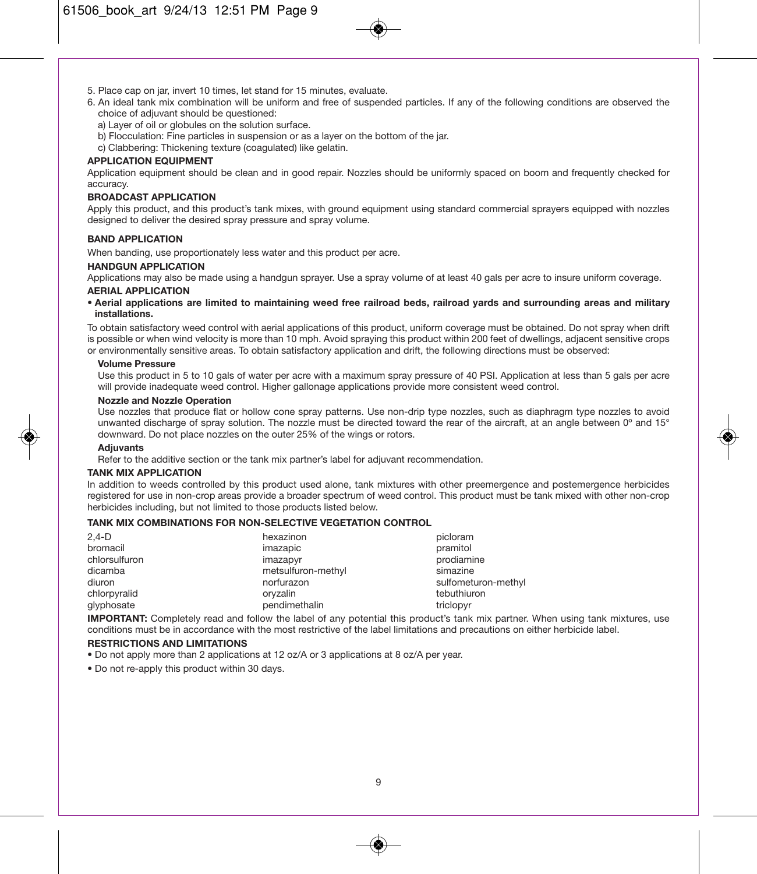- 5. Place cap on jar, invert 10 times, let stand for 15 minutes, evaluate.
- 6. An ideal tank mix combination will be uniform and free of suspended particles. If any of the following conditions are observed the choice of adjuvant should be questioned:
	- a) Layer of oil or globules on the solution surface.
	- b) Flocculation: Fine particles in suspension or as a layer on the bottom of the jar.
	- c) Clabbering: Thickening texture (coagulated) like gelatin.

### **APPLICATION EQUIPMENT**

Application equipment should be clean and in good repair. Nozzles should be uniformly spaced on boom and frequently checked for accuracy.

### **BROADCAST APPLICATION**

Apply this product, and this product's tank mixes, with ground equipment using standard commercial sprayers equipped with nozzles designed to deliver the desired spray pressure and spray volume.

### **BAND APPLICATION**

When banding, use proportionately less water and this product per acre.

### **HANDGUN APPLICATION**

Applications may also be made using a handgun sprayer. Use a spray volume of at least 40 gals per acre to insure uniform coverage.

#### **AERIAL APPLICATION**

**• Aerial applications are limited to maintaining weed free railroad beds, railroad yards and surrounding areas and military installations.**

To obtain satisfactory weed control with aerial applications of this product, uniform coverage must be obtained. Do not spray when drift is possible or when wind velocity is more than 10 mph. Avoid spraying this product within 200 feet of dwellings, adjacent sensitive crops or environmentally sensitive areas. To obtain satisfactory application and drift, the following directions must be observed:

#### **Volume Pressure**

Use this product in 5 to 10 gals of water per acre with a maximum spray pressure of 40 PSI. Application at less than 5 gals per acre will provide inadequate weed control. Higher gallonage applications provide more consistent weed control.

### **Nozzle and Nozzle Operation**

Use nozzles that produce flat or hollow cone spray patterns. Use non-drip type nozzles, such as diaphragm type nozzles to avoid unwanted discharge of spray solution. The nozzle must be directed toward the rear of the aircraft, at an angle between 0° and 15° downward. Do not place nozzles on the outer 25% of the wings or rotors.

### **Adjuvants**

Refer to the additive section or the tank mix partner's label for adjuvant recommendation.

### **TANK MIX APPLICATION**

In addition to weeds controlled by this product used alone, tank mixtures with other preemergence and postemergence herbicides registered for use in non-crop areas provide a broader spectrum of weed control. This product must be tank mixed with other non-crop herbicides including, but not limited to those products listed below.

### **TANK MIX COMBINATIONS FOR NON-SELECTIVE VEGETATION CONTROL**

| $2.4-D$       | hexazinon          | picloram            |
|---------------|--------------------|---------------------|
| bromacil      | imazapic           | pramitol            |
| chlorsulfuron | imazapyr           | prodiamine          |
| dicamba       | metsulfuron-methyl | simazine            |
| diuron        | norfurazon         | sulfometuron-methyl |
| chlorpyralid  | orvzalin           | tebuthiuron         |
| glyphosate    | pendimethalin      | triclopyr           |

**IMPORTANT:** Completely read and follow the label of any potential this product's tank mix partner. When using tank mixtures, use conditions must be in accordance with the most restrictive of the label limitations and precautions on either herbicide label.

### **RESTRICTIONS AND LIMITATIONS**

- Do not apply more than 2 applications at 12 oz/A or 3 applications at 8 oz/A per year.
- Do not re-apply this product within 30 days.